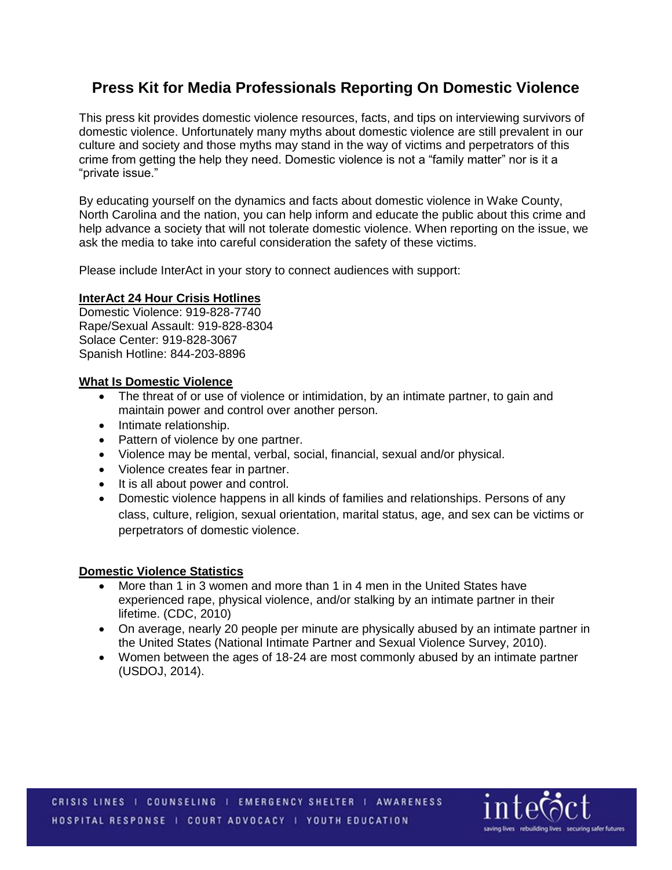# **Press Kit for Media Professionals Reporting On Domestic Violence**

This press kit provides domestic violence resources, facts, and tips on interviewing survivors of domestic violence. Unfortunately many myths about domestic violence are still prevalent in our culture and society and those myths may stand in the way of victims and perpetrators of this crime from getting the help they need. Domestic violence is not a "family matter" nor is it a "private issue."

By educating yourself on the dynamics and facts about domestic violence in Wake County, North Carolina and the nation, you can help inform and educate the public about this crime and help advance a society that will not tolerate domestic violence. When reporting on the issue, we ask the media to take into careful consideration the safety of these victims.

Please include InterAct in your story to connect audiences with support:

### **InterAct 24 Hour Crisis Hotlines**

Domestic Violence: 919-828-7740 Rape/Sexual Assault: 919-828-8304 Solace Center: 919-828-3067 Spanish Hotline: 844-203-8896

### **What Is Domestic Violence**

- The threat of or use of violence or intimidation, by an intimate partner, to gain and maintain power and control over another person.
- Intimate relationship.
- Pattern of violence by one partner.
- Violence may be mental, verbal, social, financial, sexual and/or physical.
- Violence creates fear in partner.
- It is all about power and control.
- Domestic violence happens in all kinds of families and relationships. Persons of any class, culture, religion, sexual orientation, marital status, age, and sex can be victims or perpetrators of domestic violence.

## **Domestic Violence Statistics**

- More than 1 in 3 women and more than 1 in 4 men in the United States have experienced rape, physical violence, and/or stalking by an intimate partner in their lifetime. (CDC, 2010)
- On average, nearly 20 people per minute are physically abused by an intimate partner in the United States (National Intimate Partner and Sexual Violence Survey, 2010).
- Women between the ages of 18-24 are most commonly abused by an intimate partner (USDOJ, 2014).

CRISIS LINES | COUNSELING | EMERGENCY SHELTER | AWARENESS HOSPITAL RESPONSE | COURT ADVOCACY | YOUTH EDUCATION

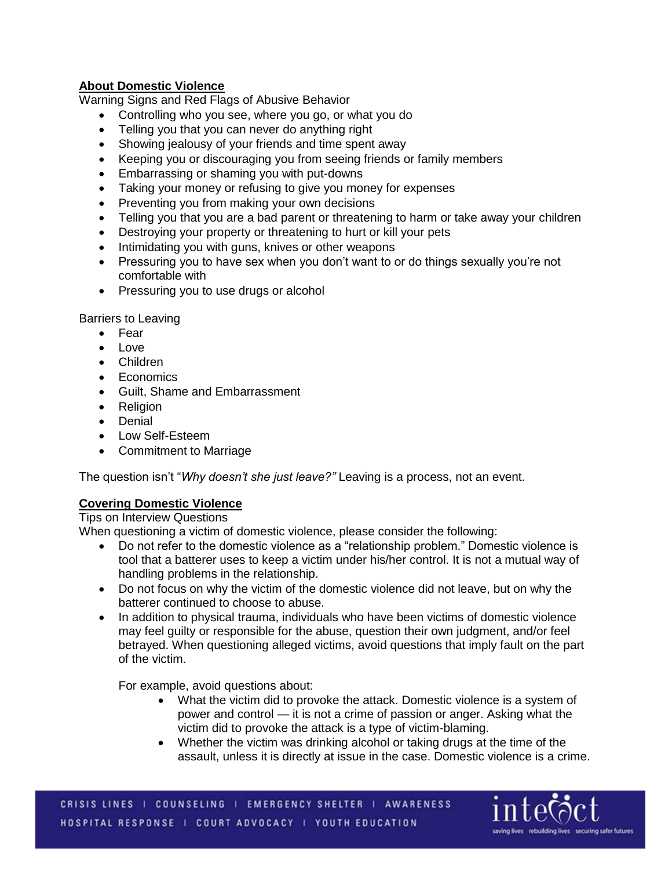# **About Domestic Violence**

Warning Signs and Red Flags of Abusive Behavior

- Controlling who you see, where you go, or what you do
- Telling you that you can never do anything right
- Showing jealousy of your friends and time spent away
- Keeping you or discouraging you from seeing friends or family members
- Embarrassing or shaming you with put-downs
- Taking your money or refusing to give you money for expenses
- Preventing you from making your own decisions
- Telling you that you are a bad parent or threatening to harm or take away your children
- Destroying your property or threatening to hurt or kill your pets
- Intimidating you with guns, knives or other weapons
- Pressuring you to have sex when you don't want to or do things sexually you're not comfortable with
- Pressuring you to use drugs or alcohol

Barriers to Leaving

- Fear
- Love
- Children
- Economics
- Guilt, Shame and Embarrassment
- Religion
- Denial
- Low Self-Esteem
- Commitment to Marriage

The question isn't "*Why doesn't she just leave?"* Leaving is a process, not an event.

# **Covering Domestic Violence**

Tips on Interview Questions

When questioning a victim of domestic violence, please consider the following:

- Do not refer to the domestic violence as a "relationship problem." Domestic violence is tool that a batterer uses to keep a victim under his/her control. It is not a mutual way of handling problems in the relationship.
- Do not focus on why the victim of the domestic violence did not leave, but on why the batterer continued to choose to abuse.
- In addition to physical trauma, individuals who have been victims of domestic violence may feel guilty or responsible for the abuse, question their own judgment, and/or feel betrayed. When questioning alleged victims, avoid questions that imply fault on the part of the victim.

For example, avoid questions about:

- What the victim did to provoke the attack. Domestic violence is a system of power and control — it is not a crime of passion or anger. Asking what the victim did to provoke the attack is a type of victim-blaming.
- Whether the victim was drinking alcohol or taking drugs at the time of the assault, unless it is directly at issue in the case. Domestic violence is a crime.

CRISIS LINES | COUNSELING | EMERGENCY SHELTER | AWARENESS HOSPITAL RESPONSE | COURT ADVOCACY | YOUTH EDUCATION